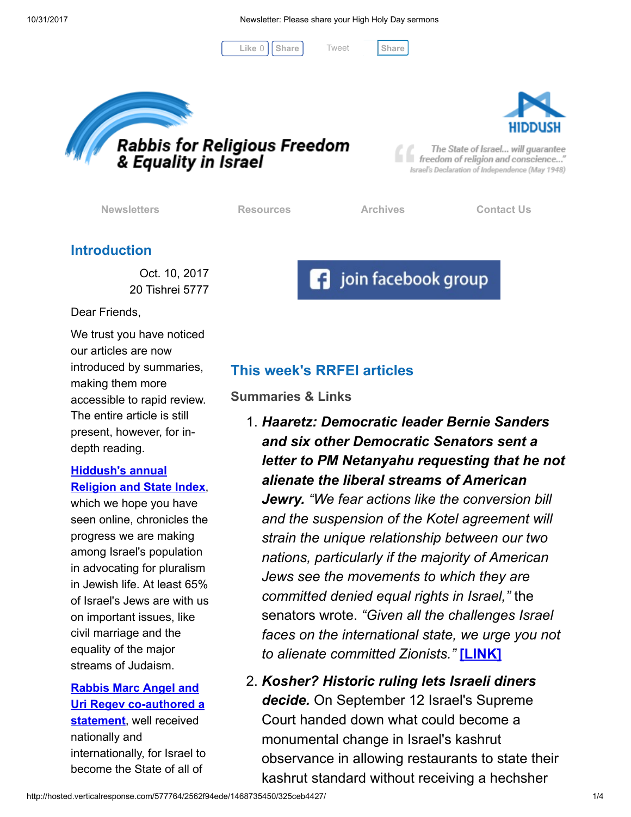10/31/2017 Newsletter: Please share your High Holy Day sermons

[Tweet](https://twitter.com/intent/tweet?original_referer=http%3A%2F%2Fhosted.verticalresponse.com%2F577764%2F2562f94ede%2F1468735450%2F325ceb4427%2F&ref_src=twsrc%5Etfw&text=Newsletter%3A%20Please%20share%20your%20High%20Holy%20Day%20sermons&tw_p=tweetbutton&url=http%3A%2F%2Fhosted-p0.vresp.com%2F577764%2F2562f94ede%2FARCHIVE%23.WfjiAPcSGmY.twitter)

 $Like 0$   $|$  [Share](javascript:void(0);)  $|$  Tweet Share





The State of Israel... will guarantee freedom of religion and conscience..." Israel's Declaration of Independence (May 1948)

[Newsletters](http://cts.vresp.com/c/?FreedomofReligionfor/2562f94ede/325ceb4427/033f023a97) **[Resources](http://cts.vresp.com/c/?FreedomofReligionfor/2562f94ede/325ceb4427/599c69c651)** [Archives](http://cts.vresp.com/c/?FreedomofReligionfor/2562f94ede/325ceb4427/757fdf6cba) [Contact Us](http://cts.vresp.com/c/?FreedomofReligionfor/2562f94ede/325ceb4427/1e639afdc0)

**f** join facebook group

## Introduction

Oct. 10, 2017 20 Tishrei 5777

Dear Friends,

We trust you have noticed our articles are now introduced by summaries, making them more accessible to rapid review. The entire article is still present, however, for indepth reading.

## Hiddush's annual [Religion and State Index](http://cts.vresp.com/c/?FreedomofReligionfor/2562f94ede/325ceb4427/d8d24b7a83),

which we hope you have seen online, chronicles the progress we are making among Israel's population in advocating for pluralism in Jewish life. At least 65% of Israel's Jews are with us on important issues, like civil marriage and the equality of the major streams of Judaism.

# Rabbis Marc Angel and [Uri Regev co-authored a](http://cts.vresp.com/c/?FreedomofReligionfor/2562f94ede/325ceb4427/68b9007b3d)

statement, well received nationally and internationally, for Israel to become the State of all of

# This week's RRFEI articles

Summaries & Links

- 1. Haaretz: Democratic leader Bernie Sanders and six other Democratic Senators sent a letter to PM Netanyahu requesting that he not alienate the liberal streams of American Jewry. "We fear actions like the conversion bill and the suspension of the Kotel agreement will strain the unique relationship between our two nations, particularly if the majority of American Jews see the movements to which they are committed denied equal rights in Israel," the senators wrote. "Given all the challenges Israel faces on the international state, we urge you not to alienate committed Zionists." [\[LINK\]](http://cts.vresp.com/c/?FreedomofReligionfor/2562f94ede/325ceb4427/5ebf826c4a)
- 2. Kosher? Historic ruling lets Israeli diners decide. On September 12 Israel's Supreme Court handed down what could become a monumental change in Israel's kashrut observance in allowing restaurants to state their kashrut standard without receiving a hechsher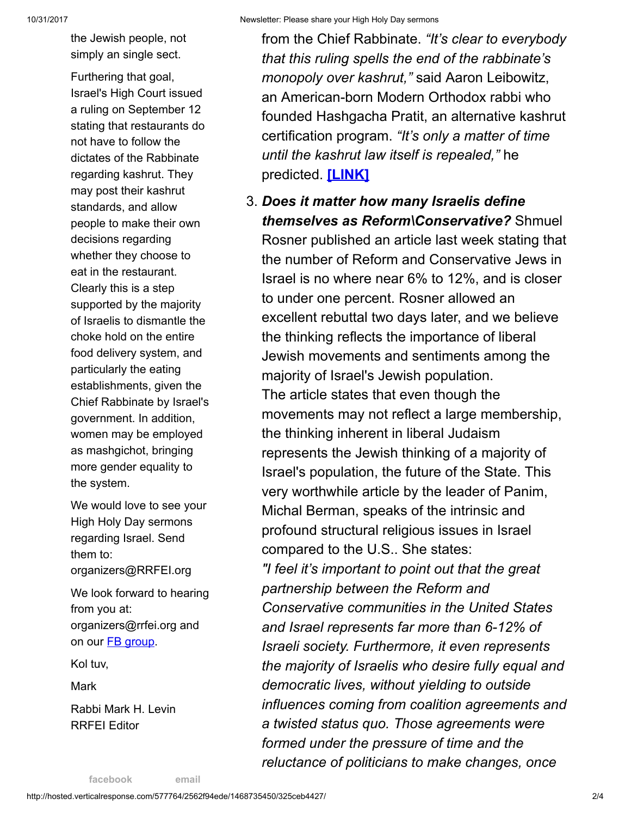the Jewish people, not simply an single sect.

Furthering that goal, Israel's High Court issued a ruling on September 12 stating that restaurants do not have to follow the dictates of the Rabbinate regarding kashrut. They may post their kashrut standards, and allow people to make their own decisions regarding whether they choose to eat in the restaurant. Clearly this is a step supported by the majority of Israelis to dismantle the choke hold on the entire food delivery system, and particularly the eating establishments, given the Chief Rabbinate by Israel's government. In addition, women may be employed as mashgichot, bringing more gender equality to the system.

We would love to see your High Holy Day sermons regarding Israel. Send them to: organizers@RRFEI.org

We look forward to hearing from you at: organizers@rrfei.org and on our **FB** group.

Kol tuv,

Mark

Rabbi Mark H. Levin RRFEI Editor

from the Chief Rabbinate. "It's clear to everybody that this ruling spells the end of the rabbinate's monopoly over kashrut," said Aaron Leibowitz, an American-born Modern Orthodox rabbi who founded Hashgacha Pratit, an alternative kashrut certification program. "It's only a matter of time until the kashrut law itself is repealed," he predicted. **[\[LINK\]](http://cts.vresp.com/c/?FreedomofReligionfor/2562f94ede/325ceb4427/c08467f27d)** 

3. Does it matter how many Israelis define themselves as Reform\Conservative? Shmuel Rosner published an article last week stating that the number of Reform and Conservative Jews in Israel is no where near 6% to 12%, and is closer to under one percent. Rosner allowed an excellent rebuttal two days later, and we believe the thinking reflects the importance of liberal Jewish movements and sentiments among the majority of Israel's Jewish population. The article states that even though the movements may not reflect a large membership, the thinking inherent in liberal Judaism represents the Jewish thinking of a majority of Israel's population, the future of the State. This very worthwhile article by the leader of Panim, Michal Berman, speaks of the intrinsic and profound structural religious issues in Israel compared to the U.S.. She states: "I feel it's important to point out that the great partnership between the Reform and Conservative communities in the United States and Israel represents far more than 6-12% of Israeli society. Furthermore, it even represents the majority of Israelis who desire fully equal and

democratic lives, without yielding to outside influences coming from coalition agreements and a twisted status quo. Those agreements were formed under the pressure of time and the reluctance of politicians to make changes, once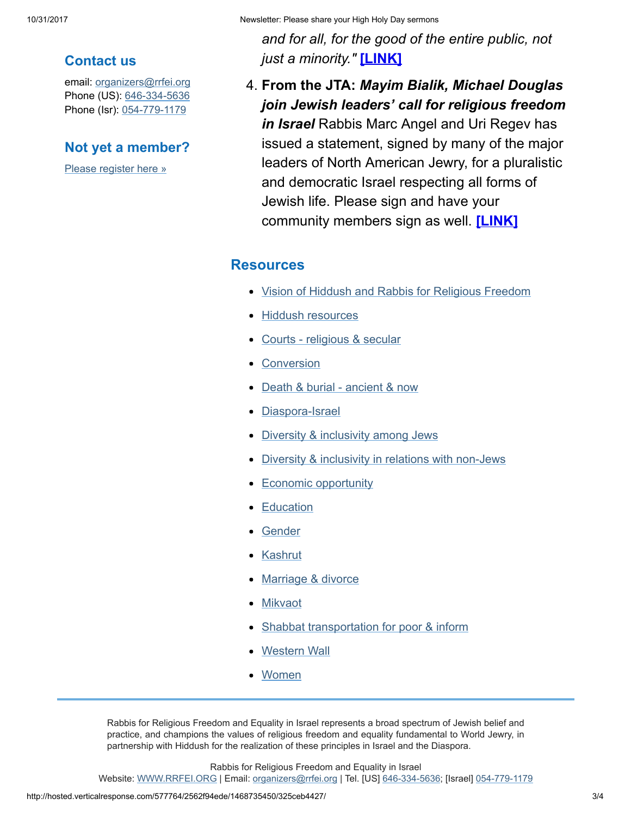Contact us

email: [organizers@rrfei.org](mailto:organizers@rrfei.org) Phone (US): [646-334-5636](http://cts.vresp.com/c/?FreedomofReligionfor/2562f94ede/325ceb4427/77156aad01) Phone (Isr): [054-779-1179](http://cts.vresp.com/c/?FreedomofReligionfor/2562f94ede/325ceb4427/142edf28e7)

Not yet a member?

[Please register here »](http://cts.vresp.com/c/?FreedomofReligionfor/2562f94ede/325ceb4427/f65bf057b3)

### 10/31/2017 Newsletter: Please share your High Holy Day sermons

and for all, for the good of the entire public, not just a minority." [\[LINK\]](http://cts.vresp.com/c/?FreedomofReligionfor/2562f94ede/325ceb4427/ad09859d76)

4. From the JTA: Mayim Bialik, Michael Douglas join Jewish leaders' call for religious freedom in Israel Rabbis Marc Angel and Uri Regev has issued a statement, signed by many of the major leaders of North American Jewry, for a pluralistic and democratic Israel respecting all forms of Jewish life. Please sign and have your community members sign as well. [\[LINK\]](http://cts.vresp.com/c/?FreedomofReligionfor/2562f94ede/325ceb4427/8421674f6d)

### **Resources**

- [Vision of Hiddush and Rabbis for Religious Freedom](http://cts.vresp.com/c/?FreedomofReligionfor/2562f94ede/325ceb4427/2dbb05cb66)
- [Hiddush resources](http://cts.vresp.com/c/?FreedomofReligionfor/2562f94ede/325ceb4427/0124ca55de)
- [Courts religious & secular](http://cts.vresp.com/c/?FreedomofReligionfor/2562f94ede/325ceb4427/3824845223)
- **[Conversion](http://cts.vresp.com/c/?FreedomofReligionfor/2562f94ede/325ceb4427/ccc585d1fa)**
- [Death & burial ancient & now](http://cts.vresp.com/c/?FreedomofReligionfor/2562f94ede/325ceb4427/1f8c1f4129)
- [Diaspora-Israel](http://cts.vresp.com/c/?FreedomofReligionfor/2562f94ede/325ceb4427/a9383046ea)
- [Diversity & inclusivity among Jews](http://cts.vresp.com/c/?FreedomofReligionfor/2562f94ede/325ceb4427/5e9017f0bd)
- [Diversity & inclusivity in relations with non-Jews](http://cts.vresp.com/c/?FreedomofReligionfor/2562f94ede/325ceb4427/d0ea221ebb)
- [Economic opportunity](http://cts.vresp.com/c/?FreedomofReligionfor/2562f94ede/325ceb4427/d40afa3abd)
- **[Education](http://cts.vresp.com/c/?FreedomofReligionfor/2562f94ede/325ceb4427/fe85729948)**
- [Gender](http://cts.vresp.com/c/?FreedomofReligionfor/2562f94ede/325ceb4427/8524c3c1e4)
- **[Kashrut](http://cts.vresp.com/c/?FreedomofReligionfor/2562f94ede/325ceb4427/1e1ef8df22)**
- [Marriage & divorce](http://cts.vresp.com/c/?FreedomofReligionfor/2562f94ede/325ceb4427/fc6a0c31fa)
- [Mikvaot](http://cts.vresp.com/c/?FreedomofReligionfor/2562f94ede/325ceb4427/811b5c0720)
- [Shabbat transportation for poor & inform](http://cts.vresp.com/c/?FreedomofReligionfor/2562f94ede/325ceb4427/90791ca0a7)
- [Western Wall](http://cts.vresp.com/c/?FreedomofReligionfor/2562f94ede/325ceb4427/95b3dd5ee8)
- **[Women](http://cts.vresp.com/c/?FreedomofReligionfor/2562f94ede/325ceb4427/773d37ebd9)**

Rabbis for Religious Freedom and Equality in Israel represents a broad spectrum of Jewish belief and practice, and champions the values of religious freedom and equality fundamental to World Jewry, in partnership with Hiddush for the realization of these principles in Israel and the Diaspora.

Rabbis for Religious Freedom and Equality in Israel

Website: [WWW.RRFEI.ORG](http://cts.vresp.com/c/?FreedomofReligionfor/2562f94ede/325ceb4427/fb2091ee5c) | Email: [organizers@rrfei.org](mailto:organizers@rrfei.org) | Tel. [US] [646-334-5636](http://cts.vresp.com/c/?FreedomofReligionfor/2562f94ede/325ceb4427/61b9ba8361); [Israel] [054-779-1179](http://cts.vresp.com/c/?FreedomofReligionfor/2562f94ede/325ceb4427/fdaef4644c)